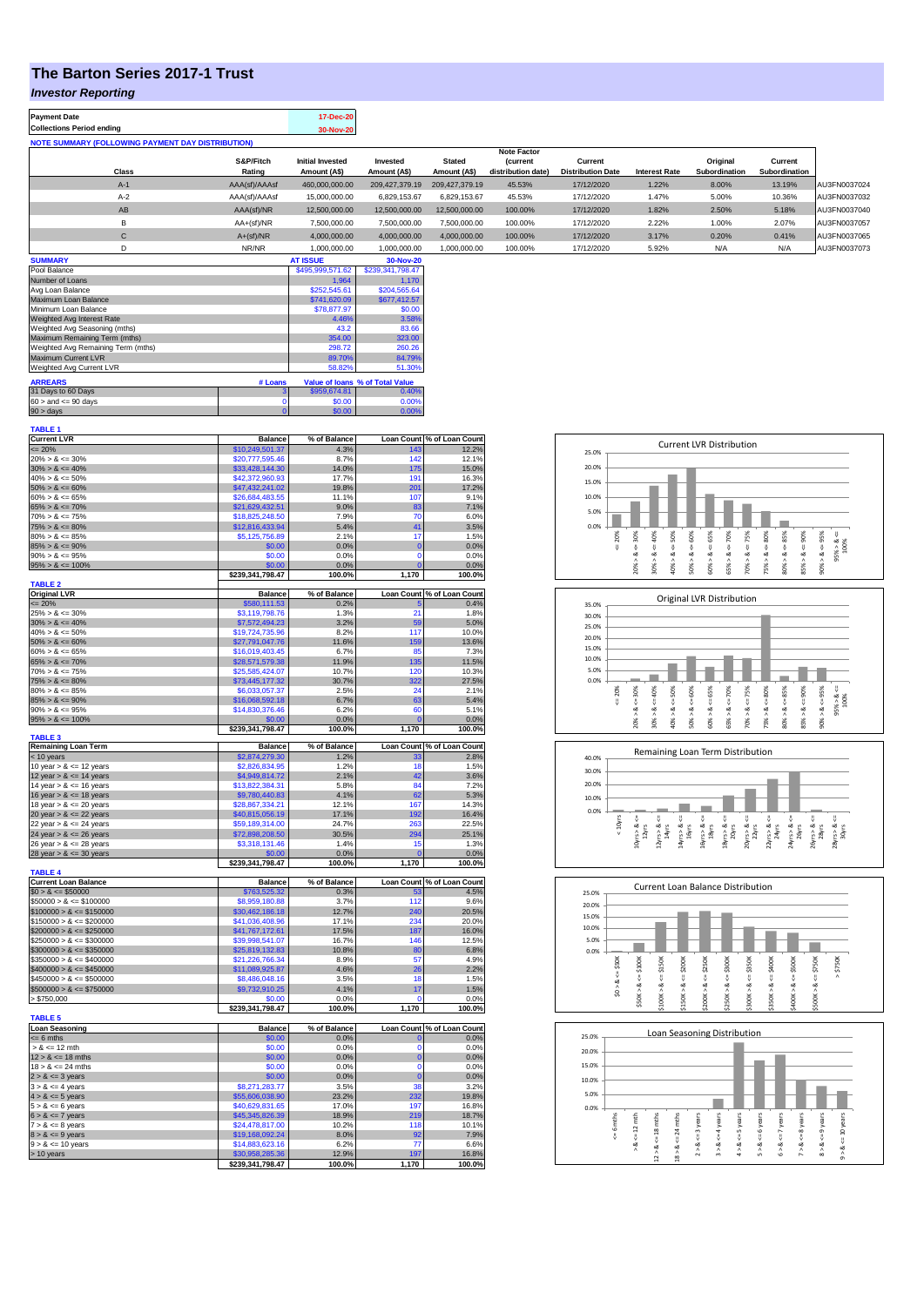## **The Barton Series 2017-1 Trust**

#### *Investor Reporting*

| <b>Payment Date</b><br><b>Collections Period ending</b>  |                     | 17-Dec-20<br>30-Nov-20                  |                          |                               |                                       |                                     |                      |                           |                          |              |
|----------------------------------------------------------|---------------------|-----------------------------------------|--------------------------|-------------------------------|---------------------------------------|-------------------------------------|----------------------|---------------------------|--------------------------|--------------|
| <b>NOTE SUMMARY (FOLLOWING PAYMENT DAY DISTRIBUTION)</b> |                     |                                         |                          |                               |                                       |                                     |                      |                           |                          |              |
|                                                          |                     |                                         |                          |                               | <b>Note Factor</b>                    |                                     |                      |                           |                          |              |
| Class                                                    | S&P/Fitch<br>Rating | <b>Initial Invested</b><br>Amount (A\$) | Invested<br>Amount (A\$) | <b>Stated</b><br>Amount (A\$) | <b>(current</b><br>distribution date) | Current<br><b>Distribution Date</b> | <b>Interest Rate</b> | Original<br>Subordination | Current<br>Subordination |              |
|                                                          |                     |                                         |                          |                               |                                       |                                     |                      |                           |                          |              |
| $A-1$                                                    | AAA(sf)/AAAsf       | 460,000,000.00                          | 209.427.379.19           | 209.427.379.19                | 45.53%                                | 17/12/2020                          | 1.22%                | 8.00%                     | 13.19%                   | AU3FN0037024 |
| $A-2$                                                    | AAA(sf)/AAAsf       | 15,000,000,00                           | 6.829.153.67             | 6.829.153.67                  | 45.53%                                | 17/12/2020                          | 1.47%                | 5.00%                     | 10.36%                   | AU3FN0037032 |
| AB                                                       | AAA(sf)/NR          | 12.500.000.00                           | 12.500.000.00            | 12.500.000.00                 | 100.00%                               | 17/12/2020                          | 1.82%                | 2.50%                     | 5.18%                    | AU3FN0037040 |
| B                                                        | AA+(sf)/NR          | 7.500.000.00                            | 7,500,000.00             | 7.500.000.00                  | 100.00%                               | 17/12/2020                          | 2.22%                | 1.00%                     | 2.07%                    | AU3FN0037057 |
| С                                                        | $A+(sf)/NR$         | 4,000,000.00                            | 4,000,000.00             | 4,000,000.00                  | 100.00%                               | 17/12/2020                          | 3.17%                | 0.20%                     | 0.41%                    | AU3FN0037065 |
| D                                                        | NR/NR               | 1,000,000.00                            | 1.000.000.00             | 1,000,000.00                  | 100.00%                               | 17/12/2020                          | 5.92%                | N/A                       | N/A                      | AU3FN0037073 |
| <b>SUMMARY</b>                                           |                     | <b>AT ISSUE</b>                         | 30-Nov-20                |                               |                                       |                                     |                      |                           |                          |              |

| Pool Balance                       |         | \$495.999.571.62 | \$239.341.798.47                |
|------------------------------------|---------|------------------|---------------------------------|
| Number of Loans                    |         | 1.964            | 1.170                           |
| Avg Loan Balance                   |         | \$252,545.61     | \$204,565.64                    |
| Maximum Loan Balance               |         | \$741,620.09     | \$677,412.57                    |
| Minimum Loan Balance               |         | \$78,877.97      | \$0.00                          |
| Weighted Avg Interest Rate         |         | 4.46%            | 3.58%                           |
| Weighted Avg Seasoning (mths)      |         | 43.2             | 83.66                           |
| Maximum Remaining Term (mths)      |         | 354.00           | 323.00                          |
| Weighted Avg Remaining Term (mths) |         | 298.72           | 260.26                          |
| Maximum Current LVR                |         | 89.70%           | 84.79%                          |
| Weighted Avg Current LVR           |         | 58.82%           | 51.30%                          |
| <b>ARREARS</b>                     | # Loans |                  | Value of Ioans % of Total Value |
| 31 Days to 60 Days                 | 3       | \$959.674.81     | 0.40%                           |
| $60 >$ and $\leq 90$ days          |         | \$0.00           | 0.00%                           |
| $90 >$ days                        | 0       | \$0.00           | 0.00%                           |

| <b>TABLE 1</b>              |                                     |                 |                   |                            |
|-----------------------------|-------------------------------------|-----------------|-------------------|----------------------------|
| <b>Current LVR</b>          | <b>Balance</b>                      | % of Balance    |                   | Loan Count % of Loan Count |
| $= 20%$                     | \$10,249,501.37                     | 4.3%            | 143               | 12.2%                      |
| $20\% > 8 \le 30\%$         | \$20,777,595.46                     | 8.7%            | 142               | 12.1%                      |
|                             |                                     |                 |                   |                            |
| $30\% > 8 \le 40\%$         | \$33,428,144.30                     | 14.0%           | 175               | 15.0%                      |
| $40\% > 8 \le 50\%$         | \$42,372,960.93                     | 17.7%           | 191               | 16.3%                      |
| $50\% > 8 \le 60\%$         | \$47,432,241.02                     | 19.8%           | 201               | 17.2%                      |
| $60\% > 8 \le 65\%$         | \$26,684,483.55                     | 11.1%           | 107               | 9.1%                       |
| $65\% > 8 \le 70\%$         | \$21,629,432.51                     | 9.0%            | 83                | 7.1%                       |
|                             |                                     | 7.9%            | 70                |                            |
| $70\% > 8 \le 75\%$         | \$18,825,248.50                     |                 |                   | 6.0%                       |
| $75\% > 8 \le 80\%$         | \$12,816,433.94                     | 5.4%            | 41                | 3.5%                       |
| $80\% > 8 \le 85\%$         | \$5,125,756.89                      | 2.1%            | 17                | 1.5%                       |
| $85\% > 8 \le 90\%$         | \$0.00                              | 0.0%            | $\mathbf 0$       | 0.0%                       |
| $90\% > 8 \le 95\%$         | \$0.00                              | 0.0%            | $\mathbf 0$       | 0.0%                       |
|                             |                                     |                 | $\overline{0}$    |                            |
| $95\% > 8 \le 100\%$        | \$0.00                              | 0.0%            |                   | 0.0%                       |
|                             | \$239,341,798.47                    | 100.0%          | 1,170             | 100.0%                     |
| <b>TABLE 2</b>              |                                     |                 |                   |                            |
| <b>Original LVR</b>         | <b>Balance</b>                      | % of Balance    | <b>Loan Count</b> | % of Loan Count            |
| $= 20%$                     | \$580,111.53                        | 0.2%            |                   | 0.4%                       |
| $25\% > 8 \le 30\%$         | \$3,119,798.76                      | 1.3%            | 21                | 1.8%                       |
|                             |                                     |                 |                   |                            |
| $30\% > 8 \le 40\%$         | \$7,572,494.23                      | 3.2%            | 59                | 5.0%                       |
| $40\% > 8 \le 50\%$         | \$19,724,735.96                     | 8.2%            | 117               | 10.0%                      |
| $50\% > 8 \le 60\%$         | \$27,791,047.76                     | 11.6%           | 159               | 13.6%                      |
| $60\% > 8 \le 65\%$         | \$16,019,403.45                     | 6.7%            | 85                | 7.3%                       |
| $65\% > 8 \le 70\%$         | \$28,571,579.38                     | 11.9%           | 135               | 11.5%                      |
|                             |                                     |                 |                   |                            |
| $70\% > 8 \le 75\%$         | \$25,585,424.07                     | 10.7%           | 120               | 10.3%                      |
| $75\% > 8 \le 80\%$         | \$73,445,177.32                     | 30.7%           | 322               | 27.5%                      |
| $80\% > 8 \le 85\%$         | \$6,033,057.37                      | 2.5%            | 24                | 2.1%                       |
| $85\% > 8 \le 90\%$         | \$16,068,592.18                     | 6.7%            | 63                | 5.4%                       |
|                             |                                     |                 |                   |                            |
| $90\% > 8 \le 95\%$         | \$14,830,376.46                     | 6.2%            | 60                | 5.1%                       |
| $95\% > 8 \le 100\%$        | \$0.00                              | 0.0%            |                   | 0.0%                       |
|                             | \$239,341,798.47                    | 100.0%          | 1,170             | 100.0%                     |
| <b>TABLE 3</b>              |                                     |                 |                   |                            |
| <b>Remaining Loan Term</b>  | <b>Balance</b>                      | % of Balance    | <b>Loan Count</b> | % of Loan Count            |
| $<$ 10 years                | \$2,874,279.30                      | 1.2%            | 33                | 2.8%                       |
| 10 year $> 8 \le 12$ years  | \$2,826,834.95                      | 1.2%            | 18                | 1.5%                       |
|                             |                                     |                 |                   |                            |
| 12 year $> 8 \le 14$ years  | \$4,949,814.72                      | 2.1%            | 42                | 3.6%                       |
| 14 year $> 8 \le 16$ years  | \$13,822,384.31                     | 5.8%            | 84                | 7.2%                       |
| 16 year $> 8 \le 18$ years  | \$9,780,440.83                      | 4.1%            | 62                | 5.3%                       |
| 18 year $> 8 \le 20$ years  | \$28,867,334.21                     | 12.1%           | 167               | 14.3%                      |
| 20 year $> 8 \le 22$ years  | \$40,815,056.19                     | 17.1%           | 192               | 16.4%                      |
|                             |                                     |                 |                   |                            |
| 22 year $> 8 \le 24$ years  | \$59,189,314.00                     | 24.7%           | 263               | 22.5%                      |
| 24 year $> 8 \le 26$ years  | \$72,898,208.50                     | 30.5%           | 294               | 25.1%                      |
| 26 year $> 8 \le 28$ years  | \$3,318,131.46                      | 1.4%            | 15                | 1.3%                       |
| 28 year $> 8 \le 30$ years  | \$0.00                              | 0.0%            | $\epsilon$        | 0.0%                       |
|                             |                                     |                 |                   |                            |
|                             | \$239,341,798.47                    | 100.0%          | 1,170             | 100.0%                     |
| <b>TABLE 4</b>              |                                     |                 |                   |                            |
| <b>Current Loan Balance</b> | <b>Balance</b>                      | % of Balance    |                   | Loan Count % of Loan Count |
| $$0 > 8 \le $50000$         | \$763,525.32                        | 0.3%            | 53                | 4.5%                       |
| $$50000 > 8 \le $100000$    | \$8,959,180.88                      | 3.7%            | 112               | 9.6%                       |
|                             |                                     |                 |                   |                            |
| $$100000 > 8 \le $150000$   | \$30,462,186.18                     | 12.7%           | 240               | 20.5%                      |
| $$150000 > 8 \le $200000$   | \$41,036,408.96                     | 17.1%           | 234               | 20.0%                      |
| $$200000 > 8 \le $250000$   | \$41,767,172.61                     |                 |                   |                            |
| $$250000 > 8 \le $300000$   |                                     | 17.5%           | 187               | 16.0%                      |
|                             |                                     |                 |                   |                            |
|                             | \$39,998,541.07                     | 16.7%           | 146               | 12.5%                      |
| $$300000 > 8 \leq $350000$  | \$25,819,132.83                     | 10.8%           | 80                | 6.8%                       |
| $$350000 > 8 \le $400000$   | \$21,226,766.34                     | 8.9%            | 57                | 4.9%                       |
| $$400000 > 8 \le $450000$   | \$11,089,925.87                     | 4.6%            | 26                | 2.2%                       |
| $$450000 > 8 \le $500000$   | \$8,486,048.16                      | 3.5%            | 18                | 1.5%                       |
|                             |                                     |                 |                   |                            |
| $$500000 > 8 \le $750000$   | \$9,732,910.25                      | 4.1%            | 17                | 1.5%                       |
| > \$750,000                 | \$0.00                              | 0.0%            | $\Omega$          | 0.0%                       |
|                             | \$239,341,798.47                    | 100.0%          | 1,170             | 100.0%                     |
| <b>TABLE 5</b>              |                                     |                 |                   |                            |
| <b>Loan Seasoning</b>       | <b>Balance</b>                      |                 |                   |                            |
|                             |                                     | % of Balance    | O                 | Loan Count % of Loan Count |
| $= 6$ mths                  | \$0.00                              | 0.0%            |                   | 0.0%                       |
| $> 8 \le 12$ mth            | \$0.00                              | 0.0%            | $\Omega$          | 0.0%                       |
| $12 > 8 \le 18$ mths        | \$0.00                              | 0.0%            | $\mathbf 0$       | 0.0%                       |
| $18 > 8 \le 24$ mths        | \$0.00                              | 0.0%            | $\mathbf 0$       | 0.0%                       |
| $2 > 8 \le 3$ years         | \$0.00                              | 0.0%            | $\overline{0}$    | 0.0%                       |
|                             |                                     |                 | 38                |                            |
| $3 > 8 \leq 4$ years        | \$8,271,283.77                      | 3.5%            |                   | 3.2%                       |
| $4 > 8 \le 5$ years         | \$55,606,038.90                     | 23.2%           | 232               | 19.8%                      |
| $5 > 8 \le 6$ years         | \$40,629,831.65                     | 17.0%           | 197               | 16.8%                      |
| $6 > 8 \le 7$ years         | \$45,345,826.39                     | 18.9%           | 219               | 18.7%                      |
| $7 > 8 \le 8$ years         | \$24,478,817.00                     | 10.2%           | 118               | 10.1%                      |
|                             |                                     |                 |                   |                            |
| $8 > 8 \le 9$ years         | \$19,168,092.24                     | 8.0%            | 92                | 7.9%                       |
| $9 > 8 \le 10$ years        | \$14,883,623.16                     | 6.2%            | 77                | 6.6%                       |
| > 10 years                  | \$30,958,285.36<br>\$239.341.798.47 | 12.9%<br>100.0% | 197<br>1.170      | 16.8%<br>100.0%            |

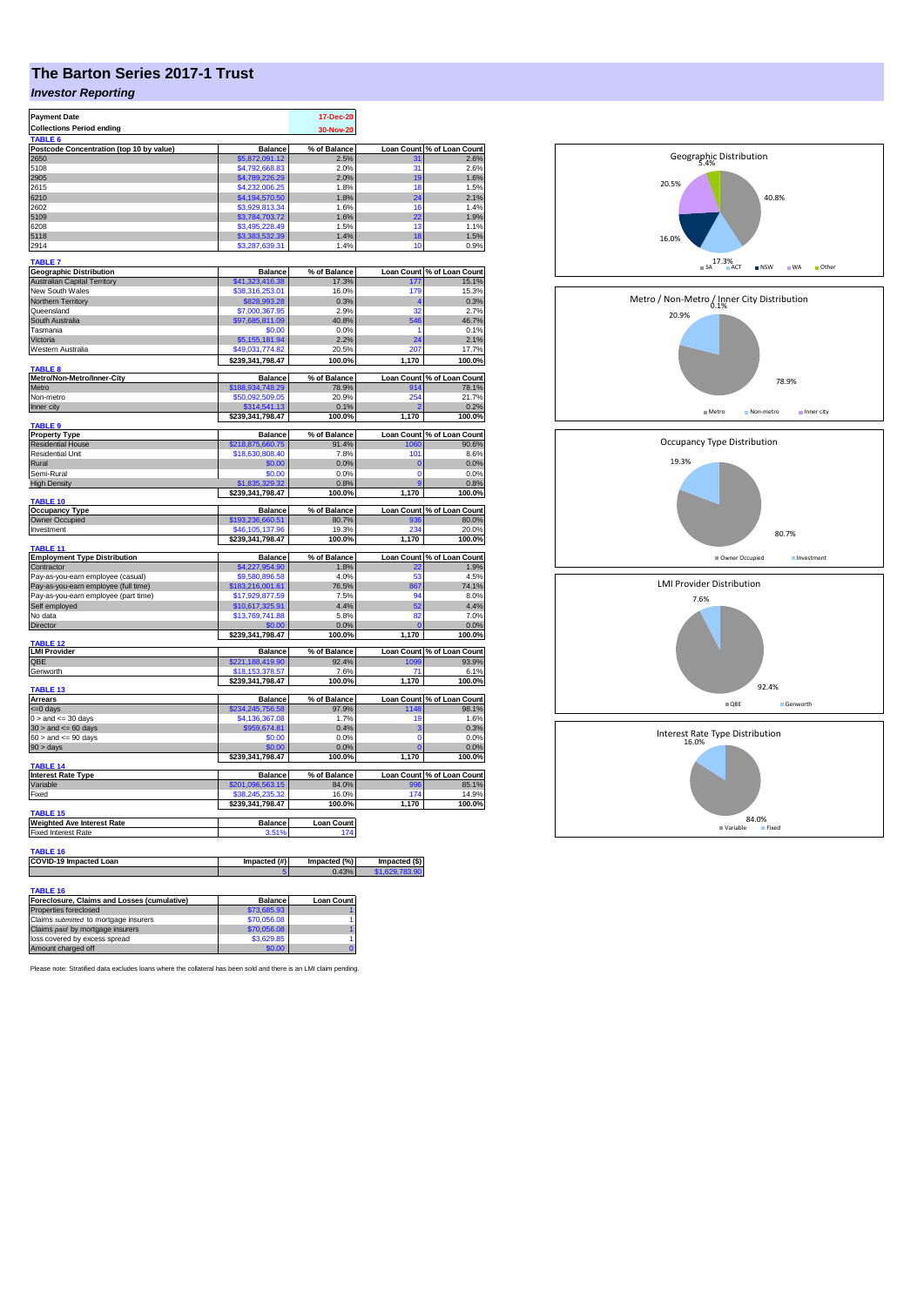# **The Barton Series 2017-1 Trust**

### *Investor Reporting*

| <b>Payment Date</b>                                                       |                                     | 17-Dec-20             |                           |                                     |
|---------------------------------------------------------------------------|-------------------------------------|-----------------------|---------------------------|-------------------------------------|
| <b>Collections Period ending</b><br>TABLE <sub>6</sub>                    |                                     | 30-Nov-20             |                           |                                     |
| Postcode Concentration (top 10 by value)                                  | <b>Balance</b>                      | % of Balance          | <b>Loan Count</b>         | % of Loan Count                     |
| 2650                                                                      | \$5,872,091.12                      | 2.5%                  | 31                        | 2.6%                                |
| 5108                                                                      | \$4,792,668.83                      | 2.0%                  | 31                        | 2.6%                                |
| 2905                                                                      | \$4,789,226.29<br>\$4,232,006.25    | 2.0%                  | 19                        | 1.6%                                |
| 2615<br>6210                                                              | \$4,194,570.50                      | 1.8%<br>1.8%          | 18<br>24                  | 1.5%<br>2.1%                        |
| 2602                                                                      | \$3,929,813.34                      | 1.6%                  | 16                        | 1.4%                                |
| 5109                                                                      | \$3,784,703.72                      | 1.6%                  | 22                        | 1.9%                                |
| 6208                                                                      | \$3,495,228.49                      | 1.5%                  | 13                        | 1.1%                                |
| 5118<br>2914                                                              | \$3,383,532.39<br>\$3,287,639.31    | 1.4%<br>1.4%          | 18<br>10                  | 1.5%<br>0.9%                        |
| <b>TABLE 7</b>                                                            |                                     |                       |                           |                                     |
| <b>Geographic Distribution</b>                                            | <b>Balance</b>                      | % of Balance          | <b>Loan Count</b>         | % of Loan Count                     |
| <b>Australian Capital Territory</b>                                       | \$41,323,416.38                     | 17.3%                 | 177                       | 15.1%                               |
| New South Wales<br>Northern Territory                                     | \$38,316,253.01<br>\$828,993.28     | 16.0%<br>0.3%         | 179<br>4                  | 15.3%<br>0.3%                       |
| Queensland                                                                | \$7,000,367.95                      | 2.9%                  | 32                        | 2.7%                                |
| South Australia                                                           | \$97,685,811.09                     | 40.8%                 | 546                       | 46.7%                               |
| Tasmania                                                                  | \$0.00                              | 0.0%                  | 1                         | 0.1%                                |
| Victoria                                                                  | \$5,155,181.94                      | 2.2%                  | 24                        | 2.1%                                |
| Western Australia                                                         | \$49,031,774.82                     | 20.5%                 | 207                       | 17.7%                               |
| <b>TABLE 8</b>                                                            | \$239,341,798.47                    | 100.0%                | 1,170                     | 100.0%                              |
| Metro/Non-Metro/Inner-City                                                | <b>Balance</b>                      | % of Balance          | <b>Loan Count</b>         | % of Loan Count                     |
| Metro<br>Non-metro                                                        | \$188,934,748.29<br>\$50,092,509.05 | 78.9%<br>20.9%        | 914<br>254                | 78.1%<br>21.7%                      |
| Inner city                                                                | \$314,541.13                        | 0.1%                  |                           | 0.2%                                |
|                                                                           | \$239,341,798.47                    | 100.0%                | 1,170                     | 100.0%                              |
| <b>TABLE 9</b>                                                            | <b>Balance</b>                      | % of Balance          | <b>Loan Count</b>         | % of Loan Count                     |
| <b>Property Type</b><br><b>Residential House</b>                          | \$218,875,660.75                    | 91.4%                 | 1060                      | 90.6%                               |
| Residential Unit                                                          | \$18,630,808.40                     | 7.8%                  | 101                       | 8.6%                                |
| Rural                                                                     | \$0.00                              | 0.0%                  | $\bf{0}$                  | 0.0%                                |
| Semi-Rural                                                                | \$0.00                              | 0.0%                  | 0                         | 0.0%                                |
| <b>High Density</b>                                                       | \$1,835,329.32<br>\$239,341,798.47  | 0.8%<br>100.0%        | 9<br>1,170                | 0.8%<br>100.0%                      |
| <b>TABLE 10</b>                                                           |                                     |                       |                           |                                     |
| <b>Occupancy Type</b>                                                     | <b>Balance</b>                      | % of Balance          |                           | Loan Count % of Loan Count          |
| Owner Occupied<br>Investment                                              | \$193,236,660.51<br>\$46,105,137.96 | 80.7%<br>19.3%        | 936<br>234                | 80.0%<br>20.0%                      |
|                                                                           | \$239,341,798.47                    | 100.0%                | 1,170                     | 100.0%                              |
| <b>TABLE 11</b>                                                           |                                     |                       |                           |                                     |
| <b>Employment Type Distribution</b>                                       | <b>Balance</b>                      | % of Balance          |                           | Loan Count % of Loan Count          |
| Contractor<br>Pay-as-you-earn employee (casual)                           | \$4,227,954.90<br>\$9,580,896.58    | 1.8%<br>4.0%          | 22<br>53                  | 1.9%<br>4.5%                        |
| Pay-as-you-earn employee (full time)                                      | \$183,216,001.61                    | 76.5%                 | 867                       | 74.1%                               |
| Pay-as-you-earn employee (part time)                                      | \$17,929,877.59                     | 7.5%                  | 94                        | 8.0%                                |
| Self employed                                                             | \$10,617,325.91                     | 4.4%                  | 52                        | 4.4%                                |
| No data                                                                   | \$13,769,741.88                     | 5.8%                  | 82                        | 7.0%                                |
| Director                                                                  | \$0.00<br>\$239,341,798.47          | 0.0%<br>100.0%        | O<br>1,170                | 0.0%<br>100.0%                      |
| <b>TABLE 12</b>                                                           |                                     |                       |                           |                                     |
| <b>LMI Provider</b><br>QBE                                                | <b>Balance</b><br>\$221,188,419.90  | % of Balance<br>92.4% | 1099                      | Loan Count % of Loan Count<br>93.9% |
| Genworth                                                                  | \$18,153,378.57                     | 7.6%                  | 71                        | 6.1%                                |
|                                                                           | \$239,341,798.47                    | 100.0%                | 1,170                     | 100.0%                              |
| TABLE <sub>13</sub>                                                       |                                     |                       |                           |                                     |
| Arrears<br><= 0 days                                                      | <b>Balance</b><br>\$234,245,756.58  | % of Balance<br>97.9% | <b>Loan Count</b><br>1148 | % of Loan Count<br>98.1%            |
| $0 >$ and $\leq$ 30 days                                                  | \$4,136,367.08                      | 1.7%                  | 19                        | 1.6%                                |
| $30 >$ and $\leq 60$ days                                                 | \$959,674.81                        | 0.4%                  | 3                         | 0.3%                                |
| $60 >$ and $\lt = 90$ days                                                | \$0.00                              | 0.0%                  | $\Omega$                  | 0.0%                                |
| $90 > \text{days}$                                                        | \$0.00<br>\$239,341,798.47          | 0.0%<br>100.0%        | $\mathbf 0$<br>1,170      | 0.0%<br>100.0%                      |
| TABLE <sub>14</sub>                                                       |                                     |                       |                           |                                     |
| <b>Interest Rate Type</b>                                                 | <b>Balance</b>                      | % of Balance          | <b>Loan Count</b>         | % of Loan Count                     |
| Variable<br>Fixed                                                         | \$201,096,563.15<br>\$38,245,235.32 | 84.0%<br>16.0%        | 996<br>174                | 85.1%                               |
|                                                                           | \$239,341,798.47                    | 100.0%                | 1,170                     | 14.9%<br>100.0%                     |
| TABLE 15                                                                  |                                     |                       |                           |                                     |
| <b>Weighted Ave Interest Rate</b>                                         | <b>Balance</b>                      | <b>Loan Count</b>     |                           |                                     |
| <b>Fixed Interest Rate</b>                                                | 3.51%                               | 174                   |                           |                                     |
| TABLE 16                                                                  |                                     |                       |                           |                                     |
| COVID-19 Impacted Loan                                                    | Impacted (#)                        | Impacted (%)          | Impacted (\$)             |                                     |
|                                                                           |                                     | 0.43 <sup>o</sup>     |                           |                                     |
| TABLE 16                                                                  |                                     |                       |                           |                                     |
| Foreclosure, Claims and Losses (cumulative)                               | <b>Balance</b>                      | <b>Loan Count</b>     |                           |                                     |
| Properties foreclosed                                                     | \$73,685.93                         |                       |                           |                                     |
| Claims submitted to mortgage insurers<br>Claims paid by mortgage insurers | \$70,056.08<br>\$70,056.08          | 1                     |                           |                                     |
| loss covered by excess spread                                             | \$3,629.85                          | 1                     |                           |                                     |
| Amount charged off                                                        | \$0.00                              |                       |                           |                                     |



5.4% Geographic Distribution

Please note: Stratified data excludes loans where the collateral has been sold and there is an LMI claim pending.